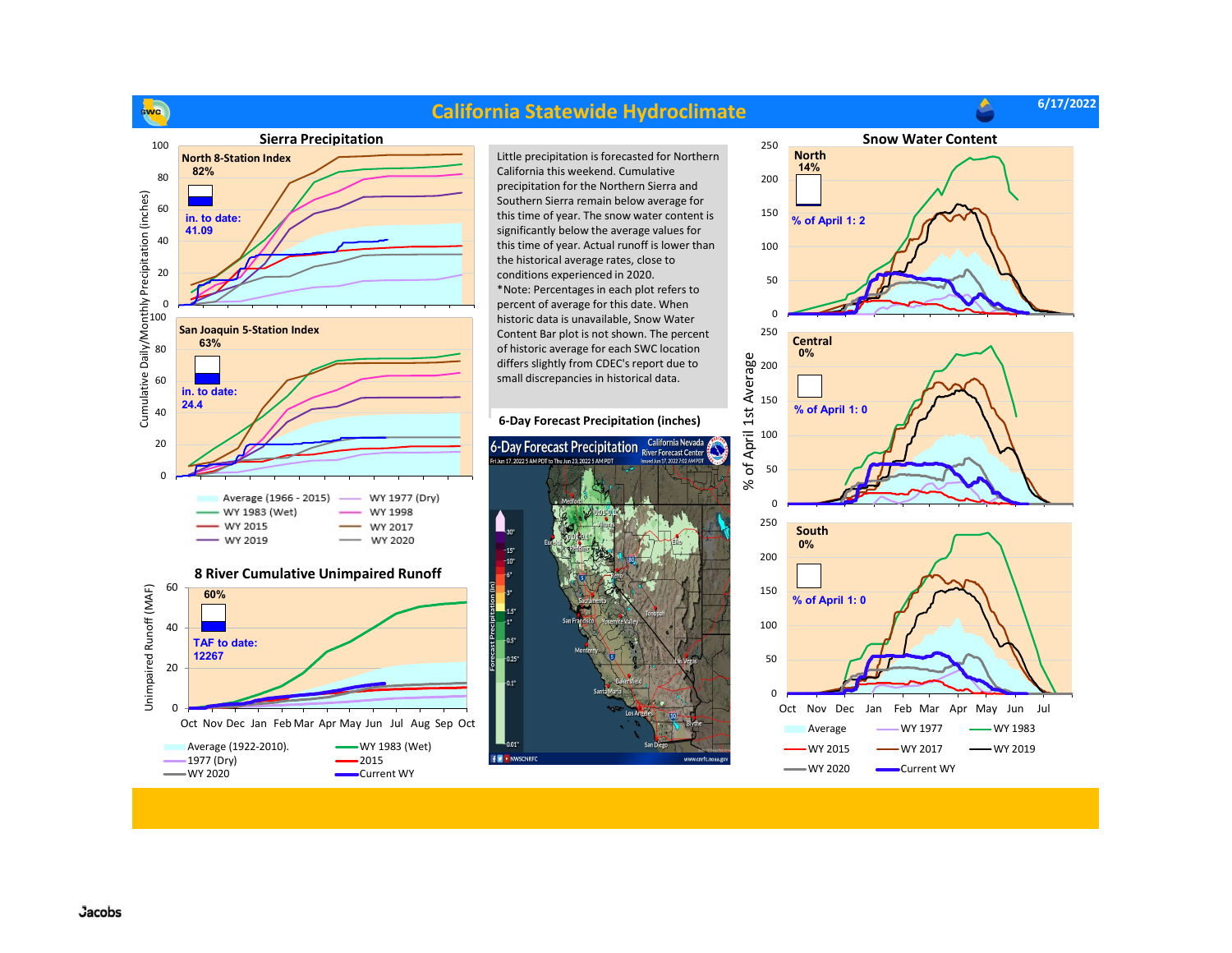

## **Jacobs**